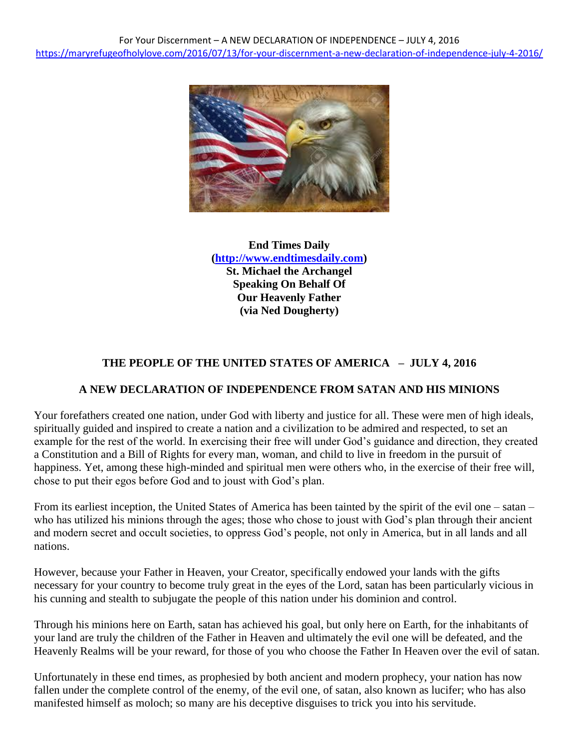

**End Times Daily [\(http://www.endtimesdaily.com\)](http://www.endtimesdaily.com/) St. Michael the Archangel Speaking On Behalf Of Our Heavenly Father (via Ned Dougherty)**

# **THE PEOPLE OF THE UNITED STATES OF AMERICA – JULY 4, 2016**

#### **A NEW DECLARATION OF INDEPENDENCE FROM SATAN AND HIS MINIONS**

Your forefathers created one nation, under God with liberty and justice for all. These were men of high ideals, spiritually guided and inspired to create a nation and a civilization to be admired and respected, to set an example for the rest of the world. In exercising their free will under God's guidance and direction, they created a Constitution and a Bill of Rights for every man, woman, and child to live in freedom in the pursuit of happiness. Yet, among these high-minded and spiritual men were others who, in the exercise of their free will, chose to put their egos before God and to joust with God's plan.

From its earliest inception, the United States of America has been tainted by the spirit of the evil one – satan – who has utilized his minions through the ages; those who chose to joust with God's plan through their ancient and modern secret and occult societies, to oppress God's people, not only in America, but in all lands and all nations.

However, because your Father in Heaven, your Creator, specifically endowed your lands with the gifts necessary for your country to become truly great in the eyes of the Lord, satan has been particularly vicious in his cunning and stealth to subjugate the people of this nation under his dominion and control.

Through his minions here on Earth, satan has achieved his goal, but only here on Earth, for the inhabitants of your land are truly the children of the Father in Heaven and ultimately the evil one will be defeated, and the Heavenly Realms will be your reward, for those of you who choose the Father In Heaven over the evil of satan.

Unfortunately in these end times, as prophesied by both ancient and modern prophecy, your nation has now fallen under the complete control of the enemy, of the evil one, of satan, also known as lucifer; who has also manifested himself as moloch; so many are his deceptive disguises to trick you into his servitude.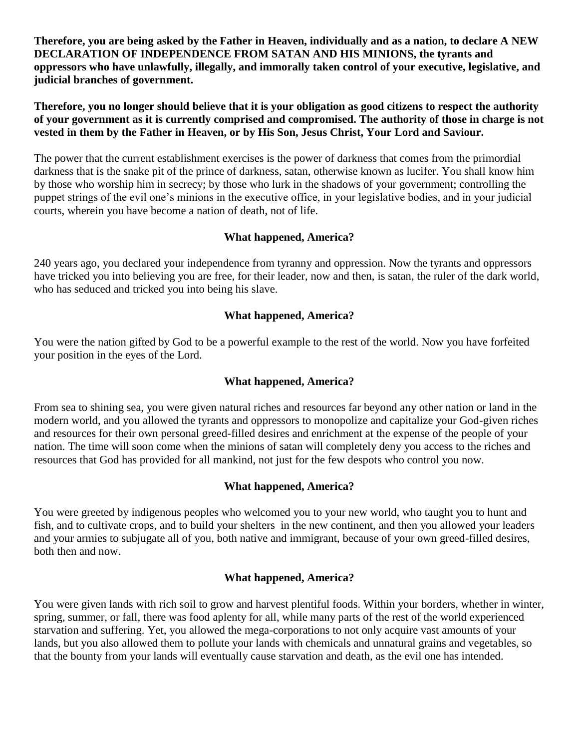**Therefore, you are being asked by the Father in Heaven, individually and as a nation, to declare A NEW DECLARATION OF INDEPENDENCE FROM SATAN AND HIS MINIONS, the tyrants and oppressors who have unlawfully, illegally, and immorally taken control of your executive, legislative, and judicial branches of government.**

**Therefore, you no longer should believe that it is your obligation as good citizens to respect the authority of your government as it is currently comprised and compromised. The authority of those in charge is not vested in them by the Father in Heaven, or by His Son, Jesus Christ, Your Lord and Saviour.**

The power that the current establishment exercises is the power of darkness that comes from the primordial darkness that is the snake pit of the prince of darkness, satan, otherwise known as lucifer. You shall know him by those who worship him in secrecy; by those who lurk in the shadows of your government; controlling the puppet strings of the evil one's minions in the executive office, in your legislative bodies, and in your judicial courts, wherein you have become a nation of death, not of life.

# **What happened, America?**

240 years ago, you declared your independence from tyranny and oppression. Now the tyrants and oppressors have tricked you into believing you are free, for their leader, now and then, is satan, the ruler of the dark world, who has seduced and tricked you into being his slave.

# **What happened, America?**

You were the nation gifted by God to be a powerful example to the rest of the world. Now you have forfeited your position in the eyes of the Lord.

### **What happened, America?**

From sea to shining sea, you were given natural riches and resources far beyond any other nation or land in the modern world, and you allowed the tyrants and oppressors to monopolize and capitalize your God-given riches and resources for their own personal greed-filled desires and enrichment at the expense of the people of your nation. The time will soon come when the minions of satan will completely deny you access to the riches and resources that God has provided for all mankind, not just for the few despots who control you now.

#### **What happened, America?**

You were greeted by indigenous peoples who welcomed you to your new world, who taught you to hunt and fish, and to cultivate crops, and to build your shelters in the new continent, and then you allowed your leaders and your armies to subjugate all of you, both native and immigrant, because of your own greed-filled desires, both then and now.

#### **What happened, America?**

You were given lands with rich soil to grow and harvest plentiful foods. Within your borders, whether in winter, spring, summer, or fall, there was food aplenty for all, while many parts of the rest of the world experienced starvation and suffering. Yet, you allowed the mega-corporations to not only acquire vast amounts of your lands, but you also allowed them to pollute your lands with chemicals and unnatural grains and vegetables, so that the bounty from your lands will eventually cause starvation and death, as the evil one has intended.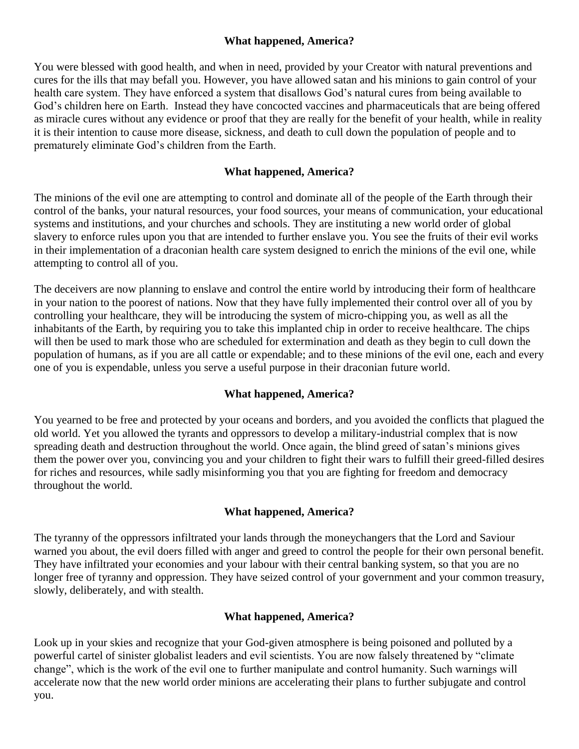# **What happened, America?**

You were blessed with good health, and when in need, provided by your Creator with natural preventions and cures for the ills that may befall you. However, you have allowed satan and his minions to gain control of your health care system. They have enforced a system that disallows God's natural cures from being available to God's children here on Earth. Instead they have concocted vaccines and pharmaceuticals that are being offered as miracle cures without any evidence or proof that they are really for the benefit of your health, while in reality it is their intention to cause more disease, sickness, and death to cull down the population of people and to prematurely eliminate God's children from the Earth.

### **What happened, America?**

The minions of the evil one are attempting to control and dominate all of the people of the Earth through their control of the banks, your natural resources, your food sources, your means of communication, your educational systems and institutions, and your churches and schools. They are instituting a new world order of global slavery to enforce rules upon you that are intended to further enslave you. You see the fruits of their evil works in their implementation of a draconian health care system designed to enrich the minions of the evil one, while attempting to control all of you.

The deceivers are now planning to enslave and control the entire world by introducing their form of healthcare in your nation to the poorest of nations. Now that they have fully implemented their control over all of you by controlling your healthcare, they will be introducing the system of micro-chipping you, as well as all the inhabitants of the Earth, by requiring you to take this implanted chip in order to receive healthcare. The chips will then be used to mark those who are scheduled for extermination and death as they begin to cull down the population of humans, as if you are all cattle or expendable; and to these minions of the evil one, each and every one of you is expendable, unless you serve a useful purpose in their draconian future world.

# **What happened, America?**

You yearned to be free and protected by your oceans and borders, and you avoided the conflicts that plagued the old world. Yet you allowed the tyrants and oppressors to develop a military-industrial complex that is now spreading death and destruction throughout the world. Once again, the blind greed of satan's minions gives them the power over you, convincing you and your children to fight their wars to fulfill their greed-filled desires for riches and resources, while sadly misinforming you that you are fighting for freedom and democracy throughout the world.

# **What happened, America?**

The tyranny of the oppressors infiltrated your lands through the moneychangers that the Lord and Saviour warned you about, the evil doers filled with anger and greed to control the people for their own personal benefit. They have infiltrated your economies and your labour with their central banking system, so that you are no longer free of tyranny and oppression. They have seized control of your government and your common treasury, slowly, deliberately, and with stealth.

#### **What happened, America?**

Look up in your skies and recognize that your God-given atmosphere is being poisoned and polluted by a powerful cartel of sinister globalist leaders and evil scientists. You are now falsely threatened by "climate change", which is the work of the evil one to further manipulate and control humanity. Such warnings will accelerate now that the new world order minions are accelerating their plans to further subjugate and control you.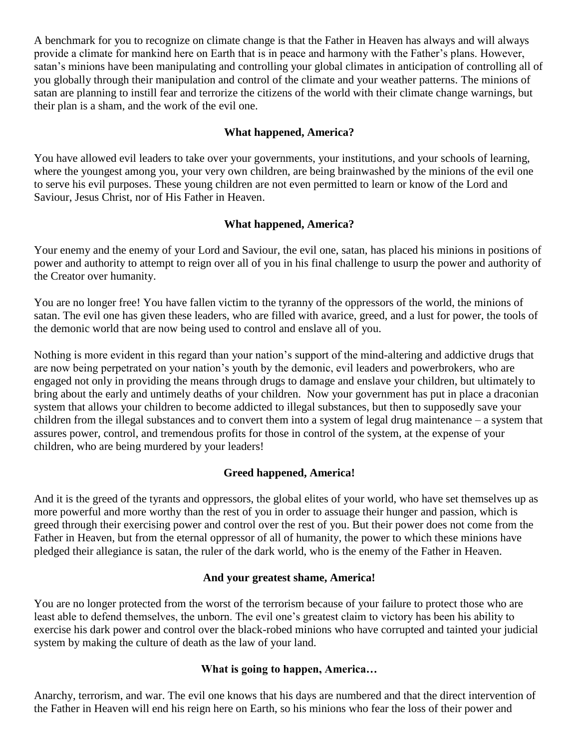A benchmark for you to recognize on climate change is that the Father in Heaven has always and will always provide a climate for mankind here on Earth that is in peace and harmony with the Father's plans. However, satan's minions have been manipulating and controlling your global climates in anticipation of controlling all of you globally through their manipulation and control of the climate and your weather patterns. The minions of satan are planning to instill fear and terrorize the citizens of the world with their climate change warnings, but their plan is a sham, and the work of the evil one.

#### **What happened, America?**

You have allowed evil leaders to take over your governments, your institutions, and your schools of learning, where the youngest among you, your very own children, are being brainwashed by the minions of the evil one to serve his evil purposes. These young children are not even permitted to learn or know of the Lord and Saviour, Jesus Christ, nor of His Father in Heaven.

#### **What happened, America?**

Your enemy and the enemy of your Lord and Saviour, the evil one, satan, has placed his minions in positions of power and authority to attempt to reign over all of you in his final challenge to usurp the power and authority of the Creator over humanity.

You are no longer free! You have fallen victim to the tyranny of the oppressors of the world, the minions of satan. The evil one has given these leaders, who are filled with avarice, greed, and a lust for power, the tools of the demonic world that are now being used to control and enslave all of you.

Nothing is more evident in this regard than your nation's support of the mind-altering and addictive drugs that are now being perpetrated on your nation's youth by the demonic, evil leaders and powerbrokers, who are engaged not only in providing the means through drugs to damage and enslave your children, but ultimately to bring about the early and untimely deaths of your children. Now your government has put in place a draconian system that allows your children to become addicted to illegal substances, but then to supposedly save your children from the illegal substances and to convert them into a system of legal drug maintenance – a system that assures power, control, and tremendous profits for those in control of the system, at the expense of your children, who are being murdered by your leaders!

#### **Greed happened, America!**

And it is the greed of the tyrants and oppressors, the global elites of your world, who have set themselves up as more powerful and more worthy than the rest of you in order to assuage their hunger and passion, which is greed through their exercising power and control over the rest of you. But their power does not come from the Father in Heaven, but from the eternal oppressor of all of humanity, the power to which these minions have pledged their allegiance is satan, the ruler of the dark world, who is the enemy of the Father in Heaven.

#### **And your greatest shame, America!**

You are no longer protected from the worst of the terrorism because of your failure to protect those who are least able to defend themselves, the unborn. The evil one's greatest claim to victory has been his ability to exercise his dark power and control over the black-robed minions who have corrupted and tainted your judicial system by making the culture of death as the law of your land.

#### **What is going to happen, America…**

Anarchy, terrorism, and war. The evil one knows that his days are numbered and that the direct intervention of the Father in Heaven will end his reign here on Earth, so his minions who fear the loss of their power and